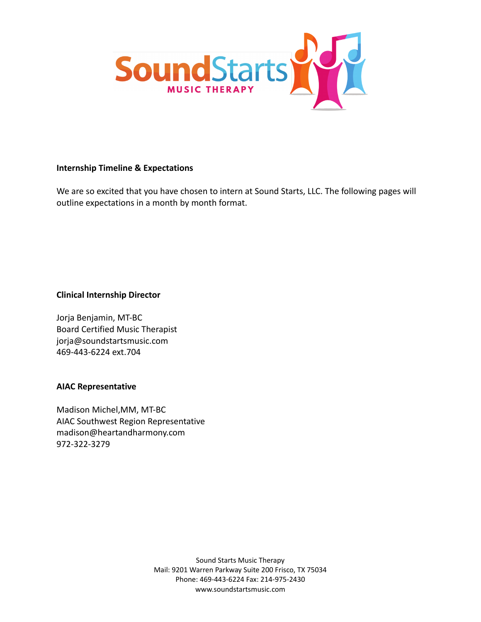

## **Internship Timeline & Expectations**

We are so excited that you have chosen to intern at Sound Starts, LLC. The following pages will outline expectations in a month by month format.

**Clinical Internship Director**

Jorja Benjamin, MT-BC Board Certified Music Therapist jorja@soundstartsmusic.com 469-443-6224 ext.704

# **AIAC Representative**

Madison Michel,MM, MT-BC AIAC Southwest Region Representative madison@heartandharmony.com 972-322-3279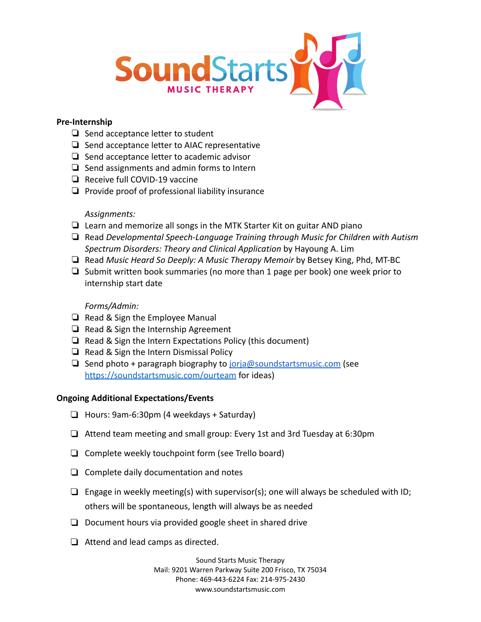

## **Pre-Internship**

- ❏ Send acceptance letter to student
- ❏ Send acceptance letter to AIAC representative
- ❏ Send acceptance letter to academic advisor
- ❏ Send assignments and admin forms to Intern
- ❏ Receive full COVID-19 vaccine
- ❏ Provide proof of professional liability insurance

## *Assignments:*

- ❏ Learn and memorize all songs in the MTK Starter Kit on guitar AND piano
- ❏ Read *Developmental Speech-Language Training through Music for Children with Autism Spectrum Disorders: Theory and Clinical Application* by Hayoung A. Lim
- ❏ Read *Music Heard So Deeply: A Music Therapy Memoir* by Betsey King, Phd, MT-BC
- ❏ Submit written book summaries (no more than 1 page per book) one week prior to internship start date

## *Forms/Admin:*

- ❏ Read & Sign the Employee Manual
- ❏ Read & Sign the Internship Agreement
- ❏ Read & Sign the Intern Expectations Policy (this document)
- ❏ Read & Sign the Intern Dismissal Policy
- ❏ Send photo + paragraph biography to [jorja@soundstartsmusic.com](mailto:jorja@soundstartsmusic.com) (see <https://soundstartsmusic.com/ourteam> for ideas)

## **Ongoing Additional Expectations/Events**

- ❏ Hours: 9am-6:30pm (4 weekdays + Saturday)
- ❏ Attend team meeting and small group: Every 1st and 3rd Tuesday at 6:30pm
- ❏ Complete weekly touchpoint form (see Trello board)
- ❏ Complete daily documentation and notes
- $\Box$  Engage in weekly meeting(s) with supervisor(s); one will always be scheduled with ID; others will be spontaneous, length will always be as needed
- ❏ Document hours via provided google sheet in shared drive
- ❏ Attend and lead camps as directed.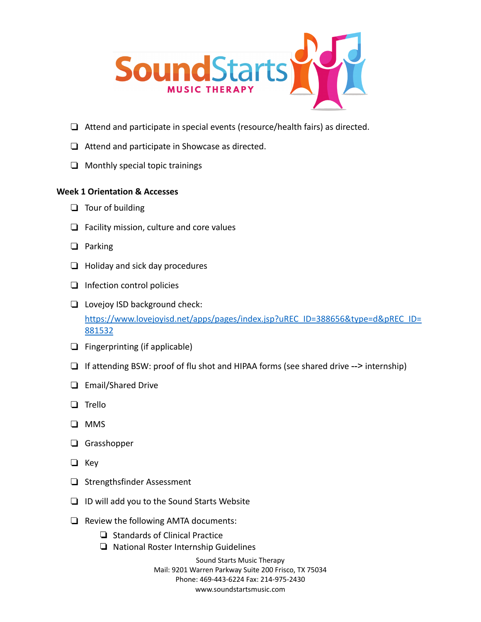

- ❏ Attend and participate in special events (resource/health fairs) as directed.
- ❏ Attend and participate in Showcase as directed.
- ❏ Monthly special topic trainings

### **Week 1 Orientation & Accesses**

- ❏ Tour of building
- ❏ Facility mission, culture and core values
- ❏ Parking
- ❏ Holiday and sick day procedures
- ❏ Infection control policies
- ❏ Lovejoy ISD background check: [https://www.lovejoyisd.net/apps/pages/index.jsp?uREC\\_ID=388656&type=d&pREC\\_ID=](https://www.lovejoyisd.net/apps/pages/index.jsp?uREC_ID=388656&type=d&pREC_ID=881532) [881532](https://www.lovejoyisd.net/apps/pages/index.jsp?uREC_ID=388656&type=d&pREC_ID=881532)
- ❏ Fingerprinting (if applicable)
- ❏ If attending BSW: proof of flu shot and HIPAA forms (see shared drive --> internship)
- ❏ Email/Shared Drive
- ❏ Trello
- ❏ MMS
- ❏ Grasshopper
- ❏ Key
- ❏ Strengthsfinder Assessment
- ❏ ID will add you to the Sound Starts Website
- ❏ Review the following AMTA documents:
	- ❏ Standards of Clinical Practice
	- ❏ National Roster Internship Guidelines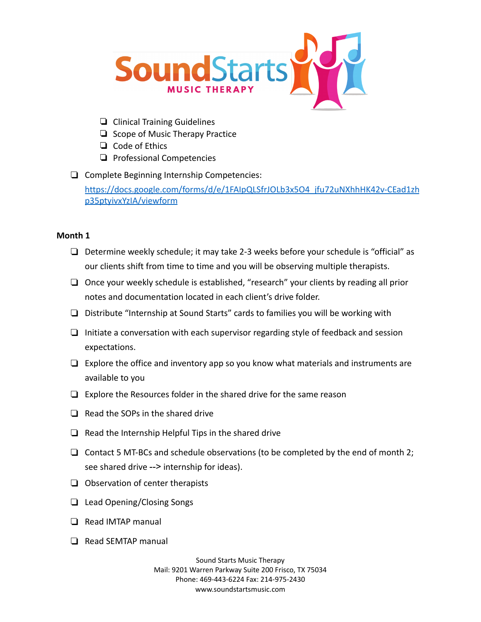

- ❏ Clinical Training Guidelines
- ❏ Scope of Music Therapy Practice
- ❏ Code of Ethics
- ❏ Professional Competencies
- ❏ Complete Beginning Internship Competencies:

[https://docs.google.com/forms/d/e/1FAIpQLSfrJOLb3x5O4\\_jfu72uNXhhHK42v-CEad1zh](https://docs.google.com/forms/d/e/1FAIpQLSfrJOLb3x5O4_jfu72uNXhhHK42v-CEad1zhp35ptyivxYzIA/viewform) [p35ptyivxYzIA/viewform](https://docs.google.com/forms/d/e/1FAIpQLSfrJOLb3x5O4_jfu72uNXhhHK42v-CEad1zhp35ptyivxYzIA/viewform)

## **Month 1**

- ❏ Determine weekly schedule; it may take 2-3 weeks before your schedule is "official" as our clients shift from time to time and you will be observing multiple therapists.
- ❏ Once your weekly schedule is established, "research" your clients by reading all prior notes and documentation located in each client's drive folder.
- ❏ Distribute "Internship at Sound Starts" cards to families you will be working with
- ❏ Initiate a conversation with each supervisor regarding style of feedback and session expectations.
- ❏ Explore the office and inventory app so you know what materials and instruments are available to you
- ❏ Explore the Resources folder in the shared drive for the same reason
- ❏ Read the SOPs in the shared drive
- ❏ Read the Internship Helpful Tips in the shared drive
- $\Box$  Contact 5 MT-BCs and schedule observations (to be completed by the end of month 2; see shared drive --> internship for ideas).
- ❏ Observation of center therapists
- ❏ Lead Opening/Closing Songs
- ❏ Read IMTAP manual
- ❏ Read SEMTAP manual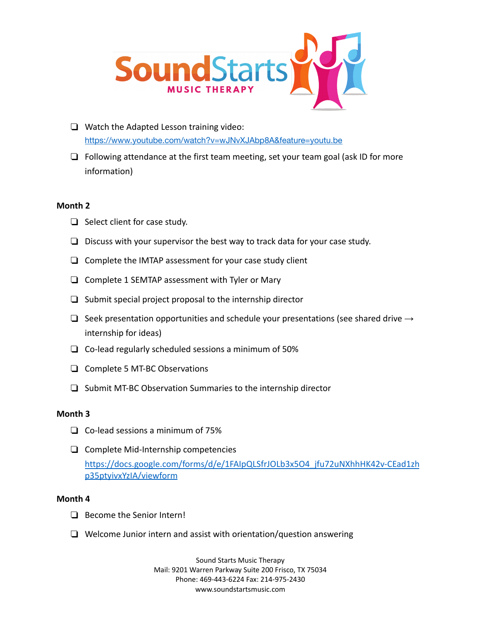

- ❏ Watch the Adapted Lesson training video: <https://www.youtube.com/watch?v=wJNvXJAbp8A&feature=youtu.be>
- ❏ Following attendance at the first team meeting, set your team goal (ask ID for more information)

### **Month 2**

- ❏ Select client for case study.
- ❏ Discuss with your supervisor the best way to track data for your case study.
- ❏ Complete the IMTAP assessment for your case study client
- ❏ Complete 1 SEMTAP assessment with Tyler or Mary
- ❏ Submit special project proposal to the internship director
- $□$  Seek presentation opportunities and schedule your presentations (see shared drive  $→$ internship for ideas)
- ❏ Co-lead regularly scheduled sessions a minimum of 50%
- ❏ Complete 5 MT-BC Observations
- ❏ Submit MT-BC Observation Summaries to the internship director

## **Month 3**

- ❏ Co-lead sessions a minimum of 75%
- ❏ Complete Mid-Internship competencies [https://docs.google.com/forms/d/e/1FAIpQLSfrJOLb3x5O4\\_jfu72uNXhhHK42v-CEad1zh](https://docs.google.com/forms/d/e/1FAIpQLSfrJOLb3x5O4_jfu72uNXhhHK42v-CEad1zhp35ptyivxYzIA/viewform) [p35ptyivxYzIA/viewform](https://docs.google.com/forms/d/e/1FAIpQLSfrJOLb3x5O4_jfu72uNXhhHK42v-CEad1zhp35ptyivxYzIA/viewform)

## **Month 4**

- ❏ Become the Senior Intern!
- ❏ Welcome Junior intern and assist with orientation/question answering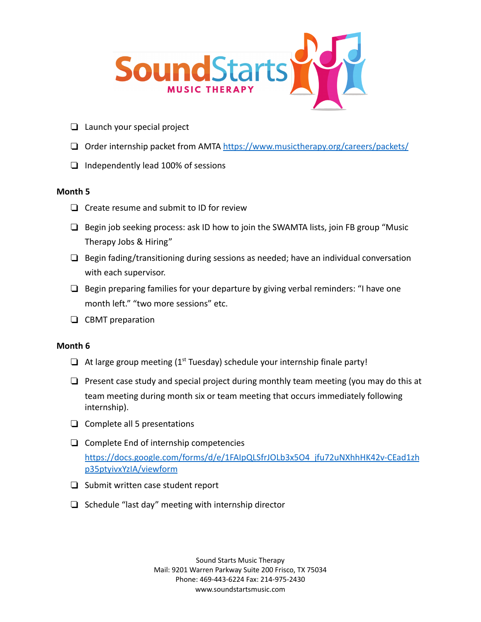

- ❏ Launch your special project
- ❏ Order internship packet from AMTA <https://www.musictherapy.org/careers/packets/>
- ❏ Independently lead 100% of sessions

### **Month 5**

- ❏ Create resume and submit to ID for review
- ❏ Begin job seeking process: ask ID how to join the SWAMTA lists, join FB group "Music Therapy Jobs & Hiring"
- ❏ Begin fading/transitioning during sessions as needed; have an individual conversation with each supervisor.
- ❏ Begin preparing families for your departure by giving verbal reminders: "I have one month left." "two more sessions" etc.
- ❏ CBMT preparation

## **Month 6**

- $\Box$  At large group meeting (1<sup>st</sup> Tuesday) schedule your internship finale party!
- $\Box$  Present case study and special project during monthly team meeting (you may do this at team meeting during month six or team meeting that occurs immediately following internship).
- ❏ Complete all 5 presentations
- ❏ Complete End of internship competencies [https://docs.google.com/forms/d/e/1FAIpQLSfrJOLb3x5O4\\_jfu72uNXhhHK42v-CEad1zh](https://docs.google.com/forms/d/e/1FAIpQLSfrJOLb3x5O4_jfu72uNXhhHK42v-CEad1zhp35ptyivxYzIA/viewform) [p35ptyivxYzIA/viewform](https://docs.google.com/forms/d/e/1FAIpQLSfrJOLb3x5O4_jfu72uNXhhHK42v-CEad1zhp35ptyivxYzIA/viewform)
- ❏ Submit written case student report
- ❏ Schedule "last day" meeting with internship director